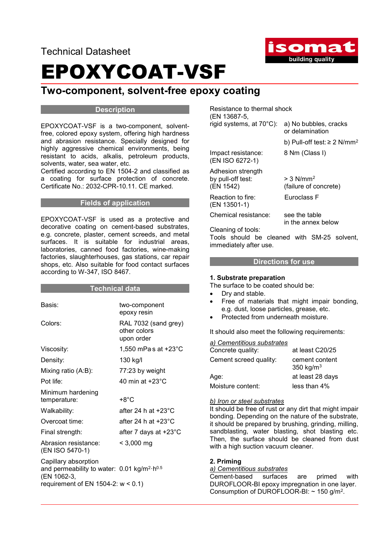Technical Datasheet



## EPOXYCOAT-VSF

### Two-component, solvent-free epoxy coating

#### **Description**

EPOXYCOAT-VSF is a two-component, solventfree, colored epoxy system, offering high hardness and abrasion resistance. Specially designed for highly aggressive chemical environments, being resistant to acids, alkalis, petroleum products, solvents, water, sea water, etc.

Certified according to EN 1504-2 and classified as a coating for surface protection of concrete. Certificate No.: 2032-CPR-10.11. CE marked.

#### Fields of application

EPOXYCOAT-VSF is used as a protective and decorative coating on cement-based substrates, e.g. concrete, plaster, cement screeds, and metal surfaces. It is suitable for industrial areas, laboratories, canned food factories, wine-making factories, slaughterhouses, gas stations, car repair shops, etc. Also suitable for food contact surfaces according to W-347, ISO 8467.

#### Technical data

| Basis:                                                                                                | two-component<br>epoxy resin                       |
|-------------------------------------------------------------------------------------------------------|----------------------------------------------------|
| Colors:                                                                                               | RAL 7032 (sand grey)<br>other colors<br>upon order |
| Viscosity:                                                                                            | 1,550 mPas at +23°C                                |
| Density:                                                                                              | 130 kg/l                                           |
| Mixing ratio (A:B):                                                                                   | 77:23 by weight                                    |
| Pot life:                                                                                             | 40 min at $+23^{\circ}$ C                          |
| Minimum hardening<br>temperature:                                                                     | +8°C                                               |
| Walkability:                                                                                          | after 24 h at $+23^{\circ}$ C                      |
| Overcoat time:                                                                                        | after 24 h at $+23^{\circ}$ C                      |
| Final strength:                                                                                       | after 7 days at +23°C                              |
| Abrasion resistance:<br>(EN ISO 5470-1)                                                               | $< 3,000$ mg                                       |
| Capillary absorption<br>and permeability to water: $0.01 \text{ kg/m}^2 \cdot h^{0.5}$<br>(EN 1062-3, |                                                    |
| requirement of EN 1504-2: $w < 0.1$ )                                                                 |                                                    |

| Resistance to thermal shock<br>(EN 13687-5,         |                                                  |  |  |  |  |
|-----------------------------------------------------|--------------------------------------------------|--|--|--|--|
| rigid systems, at 70°C):                            | a) No bubbles, cracks<br>or delamination         |  |  |  |  |
|                                                     | b) Pull-off test: $\geq$ 2 N/mm <sup>2</sup>     |  |  |  |  |
| Impact resistance:<br>(EN ISO 6272-1)               | 8 Nm (Class I)                                   |  |  |  |  |
| Adhesion strength<br>by pull-off test:<br>(EN 1542) | $> 3$ N/mm <sup>2</sup><br>(failure of concrete) |  |  |  |  |
| Reaction to fire:<br>(EN 13501-1)                   | Euroclass F                                      |  |  |  |  |
| Chemical resistance:                                | see the table                                    |  |  |  |  |

 in the annex below Cleaning of tools:

Tools should be cleaned with SM-25 solvent, immediately after use.

#### Directions for use

#### 1. Substrate preparation

The surface to be coated should be:

- Dry and stable.
- Free of materials that might impair bonding, e.g. dust, loose particles, grease, etc.
- Protected from underneath moisture.

It should also meet the following requirements:

| a) Cementitious substrates |                                |
|----------------------------|--------------------------------|
| Concrete quality:          | at least C20/25                |
| Cement screed quality:     | cement content<br>350 kg/ $m3$ |
| Age:                       | at least 28 days               |
| Moisture content:          | less than 4%                   |

#### b) Iron or steel substrates

It should be free of rust or any dirt that might impair bonding. Depending on the nature of the substrate, it should be prepared by brushing, grinding, milling, sandblasting, water blasting, shot blasting etc. Then, the surface should be cleaned from dust with a high suction vacuum cleaner.

#### 2. Priming

a) Cementitious substrates Cement-based surfaces are primed with DUROFLOOR-BI epoxy impregnation in one layer. Consumption of DUROFLOOR-BI:  $\sim$  150 g/m<sup>2</sup>.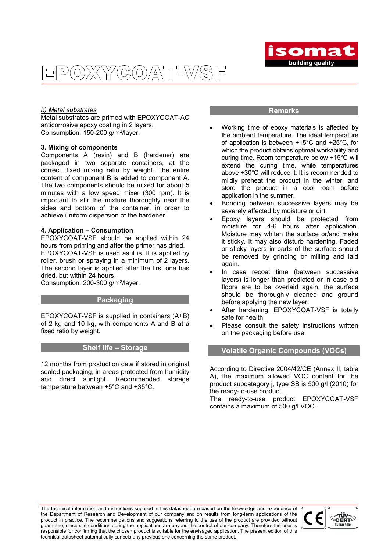OXYCOAT-VSF  $\overline{P}$ 



#### b) Metal substrates

Metal substrates are primed with EPOXYCOAT-AC anticorrosive epoxy coating in 2 layers. Consumption: 150-200 g/m<sup>2</sup>/layer.

#### 3. Mixing of components

Components A (resin) and B (hardener) are packaged in two separate containers, at the correct, fixed mixing ratio by weight. The entire content of component B is added to component A. The two components should be mixed for about 5 minutes with a low speed mixer (300 rpm). It is important to stir the mixture thoroughly near the sides and bottom of the container, in order to achieve uniform dispersion of the hardener.

#### 4. Application – Consumption

EPOXYCOAT-VSF should be applied within 24 hours from priming and after the primer has dried. EPOXYCOAT-VSF is used as it is. It is applied by roller, brush or spraying in a minimum of 2 layers. The second layer is applied after the first one has dried, but within 24 hours.

Consumption: 200-300 g/m<sup>2</sup>/layer.

#### **Packaging**

EPOXYCOAT-VSF is supplied in containers (A+B) of 2 kg and 10 kg, with components A and B at a fixed ratio by weight.

#### Shelf life – Storage

12 months from production date if stored in original sealed packaging, in areas protected from humidity and direct sunlight. Recommended storage temperature between +5°C and +35°C.

#### **Remarks**

- Working time of epoxy materials is affected by the ambient temperature. The ideal temperature of application is between +15°C and +25°C, for which the product obtains optimal workability and curing time. Room temperature below +15°C will extend the curing time, while temperatures above +30°C will reduce it. It is recommended to mildly preheat the product in the winter, and store the product in a cool room before application in the summer.
- Bonding between successive layers may be severely affected by moisture or dirt.
- Epoxy layers should be protected from moisture for 4-6 hours after application. Moisture may whiten the surface or/and make it sticky. It may also disturb hardening. Faded or sticky layers in parts of the surface should be removed by grinding or milling and laid again.
- In case recoat time (between successive layers) is longer than predicted or in case old floors are to be overlaid again, the surface should be thoroughly cleaned and ground before applying the new layer.
- After hardening, EPOXYCOAT-VSF is totally safe for health.
- Please consult the safety instructions written on the packaging before use.

#### Volatile Organic Compounds (VOCs)

According to Directive 2004/42/CE (Annex II, table A), the maximum allowed VOC content for the product subcategory j, type SB is 500 g/l (2010) for the ready-to-use product.

The ready-to-use product EPOXYCOAT-VSF contains a maximum of 500 g/l VOC.

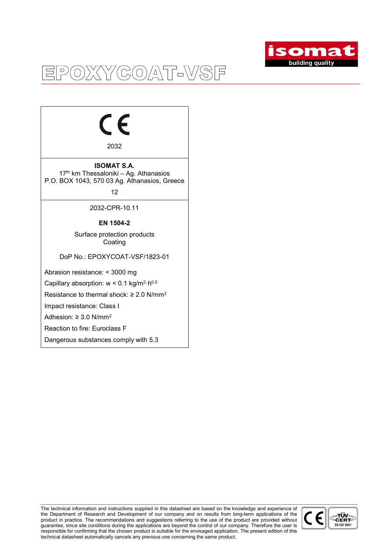

## EPOXYCOAT-VSF

# $\epsilon$

2032

ISOMAT S.A. 17<sup>th</sup> km Thessaloniki - Ag. Athanasios P.O. BOX 1043, 570 03 Ag. Athanasios, Greece

12

2032-CPR-10.11

#### EN 1504-2

Surface protection products **Coating** 

DoP No.: EPOXYCOAT-VSF/1823-01

Abrasion resistance: < 3000 mg

Capillary absorption:  $w < 0.1$  kg/m<sup>2</sup>·h<sup>0.5</sup>

Resistance to thermal shock:  $\geq 2.0$  N/mm<sup>2</sup>

Impact resistance: Class I

Adhesion:  $\geq 3.0$  N/mm<sup>2</sup>

Reaction to fire: Euroclass F

Dangerous substances comply with 5.3

The technical information and instructions supplied in this datasheet are based on the knowledge and experience of the Department of Research and Development of our company and on results from long-term applications of the product in practice. The recommendations and suggestions referring to the use of the product are provided without guarantee, since site conditions during the applications are beyond the control of our company. Therefore the user is responsible for confirming that the chosen product is suitable for the envisaged application. The present edition of this technical datasheet automatically cancels any previous one concerning the same product.